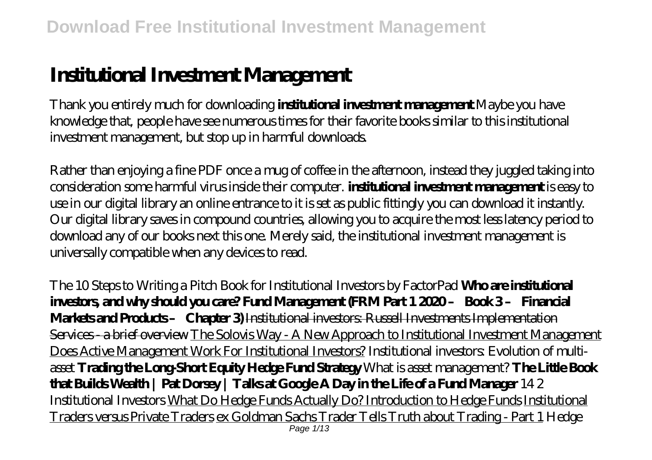# **Institutional Investment Management**

Thank you entirely much for downloading **institutional investment management**.Maybe you have knowledge that, people have see numerous times for their favorite books similar to this institutional investment management, but stop up in harmful downloads.

Rather than enjoying a fine PDF once a mug of coffee in the afternoon, instead they juggled taking into consideration some harmful virus inside their computer. **institutional investment management** is easy to use in our digital library an online entrance to it is set as public fittingly you can download it instantly. Our digital library saves in compound countries, allowing you to acquire the most less latency period to download any of our books next this one. Merely said, the institutional investment management is universally compatible when any devices to read.

*The 10 Steps to Writing a Pitch Book for Institutional Investors by FactorPad* **Who are institutional investors, and why should you care? Fund Management (FRM Part 1 2020 – Book 3 – Financial Markets and Products – Chapter 3)** Institutional investors: Russell Investments Implementation Services - a brief overview The Solovis Way - A New Approach to Institutional Investment Management Does Active Management Work For Institutional Investors? *Institutional investors: Evolution of multiasset* **Trading the Long-Short Equity Hedge Fund Strategy** *What is asset management?* **The Little Book that Builds Wealth | Pat Dorsey | Talks at Google A Day in the Life of a Fund Manager** *14 2 Institutional Investors* What Do Hedge Funds Actually Do? Introduction to Hedge Funds Institutional Traders versus Private Traders ex Goldman Sachs Trader Tells Truth about Trading - Part 1 *Hedge* Page 1/13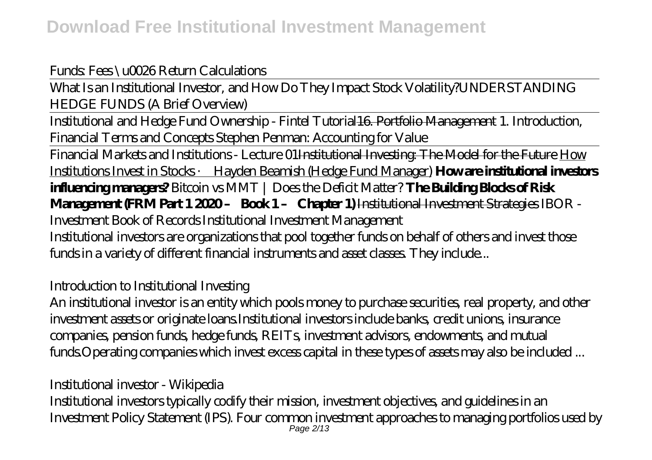#### *Funds: Fees \u0026 Return Calculations*

What Is an Institutional Investor, and How Do They Impact Stock Volatility?*UNDERSTANDING HEDGE FUNDS (A Brief Overview)*

Institutional and Hedge Fund Ownership - Fintel Tutorial16. Portfolio Management *1. Introduction, Financial Terms and Concepts Stephen Penman: Accounting for Value*

Financial Markets and Institutions - Lecture 01Institutional Investing: The Model for the Future How Institutions Invest in Stocks · Hayden Beamish (Hedge Fund Manager) **How are institutional investors influencing managers?** Bitcoin vs MMT | Does the Deficit Matter? **The Building Blocks of Risk Management (FRM Part 1 2020 – Book 1 – Chapter 1)** Institutional Investment Strategies *IBOR - Investment Book of Records Institutional Investment Management* Institutional investors are organizations that pool together funds on behalf of others and invest those funds in a variety of different financial instruments and asset classes. They include...

#### *Introduction to Institutional Investing*

An institutional investor is an entity which pools money to purchase securities, real property, and other investment assets or originate loans.Institutional investors include banks, credit unions, insurance companies, pension funds, hedge funds, REITs, investment advisors, endowments, and mutual funds.Operating companies which invest excess capital in these types of assets may also be included ...

#### *Institutional investor - Wikipedia*

Institutional investors typically codify their mission, investment objectives, and guidelines in an Investment Policy Statement (IPS). Four common investment approaches to managing portfolios used by Page 2/13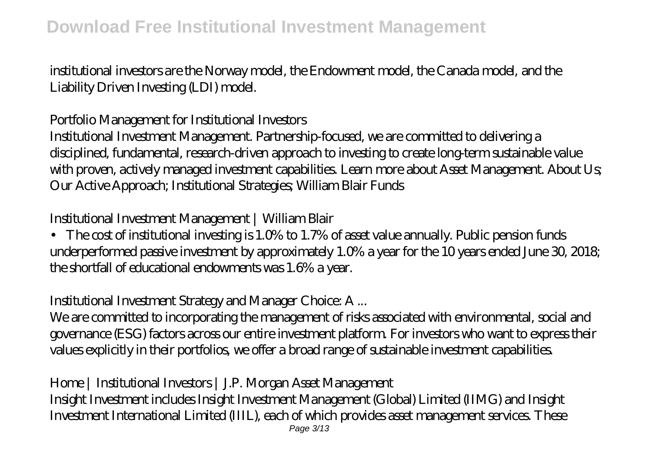institutional investors are the Norway model, the Endowment model, the Canada model, and the Liability Driven Investing (LDI) model.

#### *Portfolio Management for Institutional Investors*

Institutional Investment Management. Partnership-focused, we are committed to delivering a disciplined, fundamental, research-driven approach to investing to create long-term sustainable value with proven, actively managed investment capabilities. Learn more about Asset Management. About Us; Our Active Approach; Institutional Strategies; William Blair Funds

#### *Institutional Investment Management | William Blair*

• The cost of institutional investing is 1.0% to 1.7% of asset value annually. Public pension funds underperformed passive investment by approximately 1.0% a year for the 10 years ended June 30, 2018; the shortfall of educational endowments was 1.6% a year.

#### *Institutional Investment Strategy and Manager Choice: A ...*

We are committed to incorporating the management of risks associated with environmental, social and governance (ESG) factors across our entire investment platform. For investors who want to express their values explicitly in their portfolios, we offer a broad range of sustainable investment capabilities.

### *Home | Institutional Investors | J.P. Morgan Asset Management*

Insight Investment includes Insight Investment Management (Global) Limited (IIMG) and Insight Investment International Limited (IIIL), each of which provides asset management services. These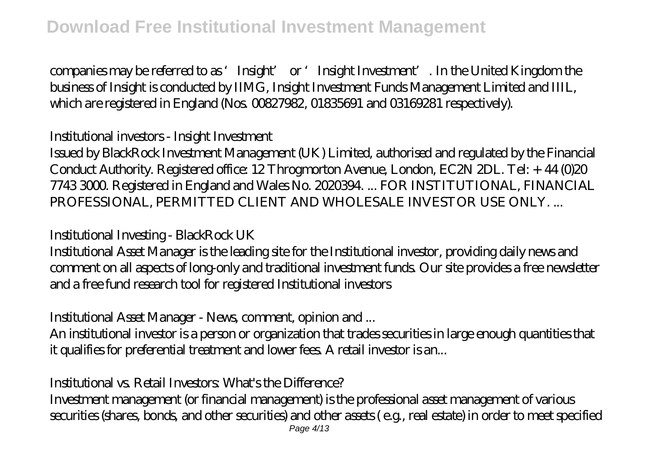companies may be referred to as 'Insight' or 'Insight Investment'. In the United Kingdom the business of Insight is conducted by IIMG, Insight Investment Funds Management Limited and IIIL, which are registered in England (Nos. 00827982, 01835691 and 03169281 respectively).

### *Institutional investors - Insight Investment*

Issued by BlackRock Investment Management (UK) Limited, authorised and regulated by the Financial Conduct Authority. Registered office: 12 Throgmorton Avenue, London, EC2N 2DL. Tel: + 44 (0)20 7743 3000. Registered in England and Wales No. 2020394. ... FOR INSTITUTIONAL, FINANCIAL PROFESSIONAL, PERMITTED CLIENT AND WHOLESALE INVESTOR USE ONLY. ...

#### *Institutional Investing - BlackRock UK*

Institutional Asset Manager is the leading site for the Institutional investor, providing daily news and comment on all aspects of long-only and traditional investment funds. Our site provides a free newsletter and a free fund research tool for registered Institutional investors

#### *Institutional Asset Manager - News, comment, opinion and ...*

An institutional investor is a person or organization that trades securities in large enough quantities that it qualifies for preferential treatment and lower fees. A retail investor is an...

#### *Institutional vs. Retail Investors: What's the Difference?*

Investment management (or financial management) is the professional asset management of various securities (shares, bonds, and other securities) and other assets ( e.g., real estate) in order to meet specified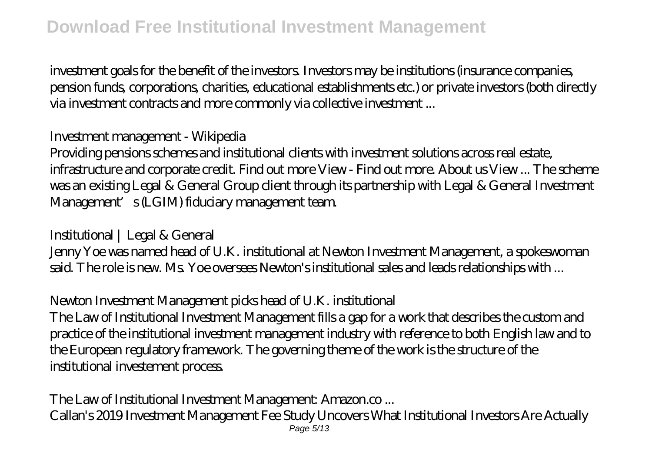investment goals for the benefit of the investors. Investors may be institutions (insurance companies, pension funds, corporations, charities, educational establishments etc.) or private investors (both directly via investment contracts and more commonly via collective investment ...

#### *Investment management - Wikipedia*

Providing pensions schemes and institutional clients with investment solutions across real estate, infrastructure and corporate credit. Find out more View - Find out more. About us View ... The scheme was an existing Legal & General Group client through its partnership with Legal & General Investment Management's (LGIM) fiduciary management team.

#### *Institutional | Legal & General*

Jenny Yoe was named head of U.K. institutional at Newton Investment Management, a spokeswoman said. The role is new. Ms. Yoe oversees Newton's institutional sales and leads relationships with ...

#### *Newton Investment Management picks head of U.K. institutional*

The Law of Institutional Investment Management fills a gap for a work that describes the custom and practice of the institutional investment management industry with reference to both English law and to the European regulatory framework. The governing theme of the work is the structure of the institutional investement process.

#### *The Law of Institutional Investment Management: Amazon.co ...*

Callan's 2019 Investment Management Fee Study Uncovers What Institutional Investors Are Actually Page 5/13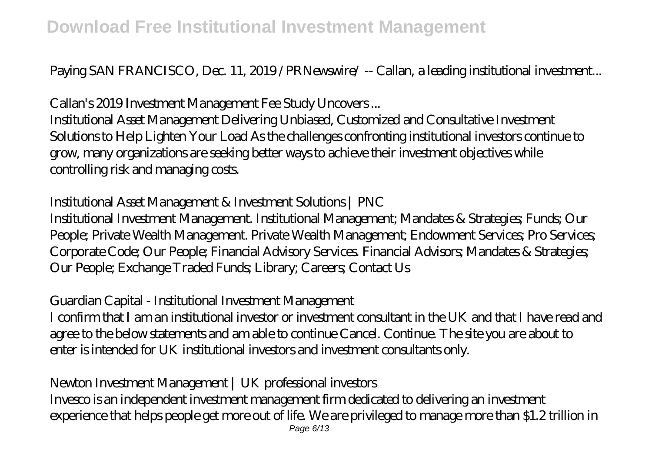Paying SAN FRANCISCO, Dec. 11, 2019 /PRNewswire/ -- Callan, a leading institutional investment...

## *Callan's 2019 Investment Management Fee Study Uncovers ...*

Institutional Asset Management Delivering Unbiased, Customized and Consultative Investment Solutions to Help Lighten Your Load As the challenges confronting institutional investors continue to grow, many organizations are seeking better ways to achieve their investment objectives while controlling risk and managing costs.

### *Institutional Asset Management & Investment Solutions | PNC*

Institutional Investment Management. Institutional Management; Mandates & Strategies; Funds; Our People; Private Wealth Management. Private Wealth Management; Endowment Services; Pro Services; Corporate Code; Our People; Financial Advisory Services. Financial Advisors; Mandates & Strategies; Our People; Exchange Traded Funds; Library; Careers; Contact Us

### *Guardian Capital - Institutional Investment Management*

I confirm that I am an institutional investor or investment consultant in the UK and that I have read and agree to the below statements and am able to continue Cancel. Continue. The site you are about to enter is intended for UK institutional investors and investment consultants only.

### *Newton Investment Management | UK professional investors*

Invesco is an independent investment management firm dedicated to delivering an investment experience that helps people get more out of life. We are privileged to manage more than \$1.2 trillion in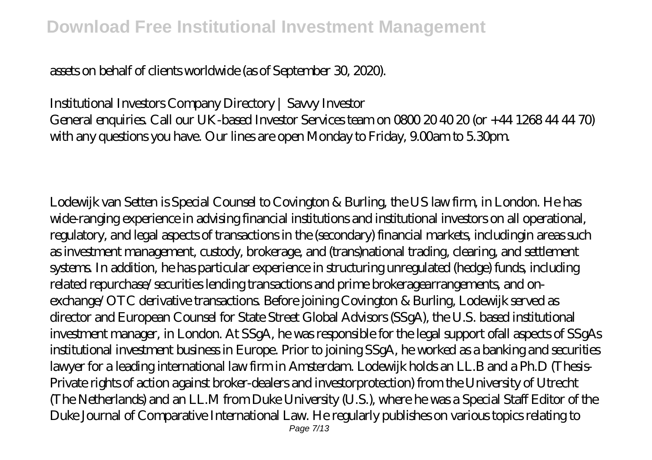#### assets on behalf of clients worldwide (as of September 30, 2020).

# *Institutional Investors Company Directory | Savvy Investor*

General enquiries. Call our UK-based Investor Services team on 0800 20 40 20 (or +44 1268 44 44 70) with any questions you have. Our lines are open Monday to Friday, 9.00am to 5.30pm.

Lodewijk van Setten is Special Counsel to Covington & Burling, the US law firm, in London. He has wide-ranging experience in advising financial institutions and institutional investors on all operational, regulatory, and legal aspects of transactions in the (secondary) financial markets, includingin areas such as investment management, custody, brokerage, and (trans)national trading, clearing, and settlement systems. In addition, he has particular experience in structuring unregulated (hedge) funds, including related repurchase/securities lending transactions and prime brokeragearrangements, and onexchange/OTC derivative transactions. Before joining Covington & Burling, Lodewijk served as director and European Counsel for State Street Global Advisors (SSgA), the U.S. based institutional investment manager, in London. At SSgA, he was responsible for the legal support ofall aspects of SSgAs institutional investment business in Europe. Prior to joining SSgA, he worked as a banking and securities lawyer for a leading international law firm in Amsterdam. Lodewijk holds an LL.B and a Ph.D (Thesis-Private rights of action against broker-dealers and investorprotection) from the University of Utrecht (The Netherlands) and an LL.M from Duke University (U.S.), where he was a Special Staff Editor of the Duke Journal of Comparative International Law. He regularly publishes on various topics relating to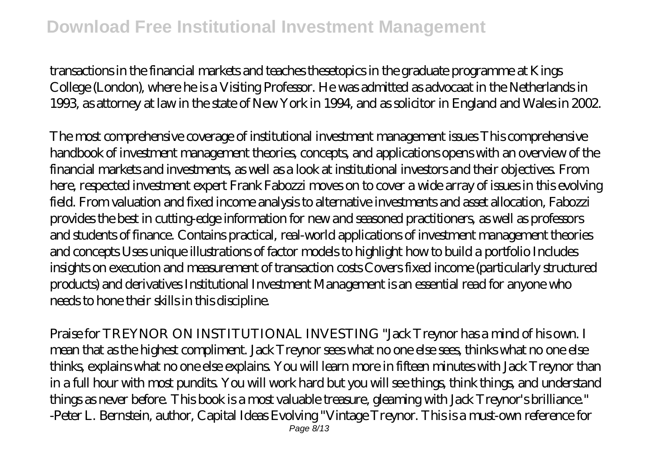transactions in the financial markets and teaches thesetopics in the graduate programme at Kings College (London), where he is a Visiting Professor. He was admitted as advocaat in the Netherlands in 1993, as attorney at law in the state of New York in 1994, and as solicitor in England and Wales in 2002.

The most comprehensive coverage of institutional investment management issues This comprehensive handbook of investment management theories, concepts, and applications opens with an overview of the financial markets and investments, as well as a look at institutional investors and their objectives. From here, respected investment expert Frank Fabozzi moves on to cover a wide array of issues in this evolving field. From valuation and fixed income analysis to alternative investments and asset allocation, Fabozzi provides the best in cutting-edge information for new and seasoned practitioners, as well as professors and students of finance. Contains practical, real-world applications of investment management theories and concepts Uses unique illustrations of factor models to highlight how to build a portfolio Includes insights on execution and measurement of transaction costs Covers fixed income (particularly structured products) and derivatives Institutional Investment Management is an essential read for anyone who needs to hone their skills in this discipline.

Praise for TREYNOR ON INSTITUTIONAL INVESTING "Jack Treynor has a mind of his own. I mean that as the highest compliment. Jack Treynor sees what no one else sees, thinks what no one else thinks, explains what no one else explains. You will learn more in fifteen minutes with Jack Treynor than in a full hour with most pundits. You will work hard but you will see things, think things, and understand things as never before. This book is a most valuable treasure, gleaming with Jack Treynor's brilliance." -Peter L. Bernstein, author, Capital Ideas Evolving "Vintage Treynor. This is a must-own reference for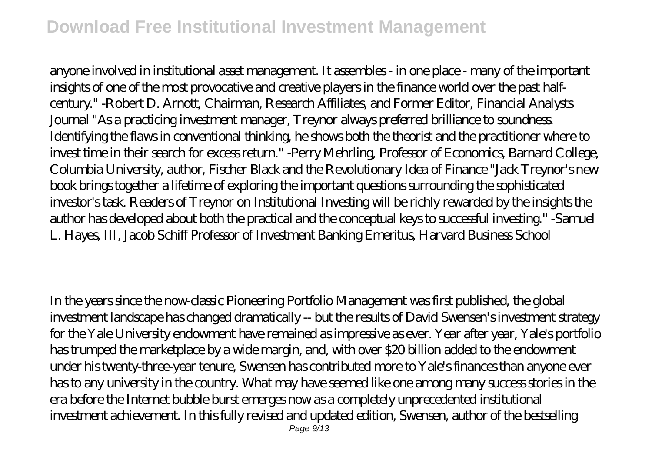anyone involved in institutional asset management. It assembles - in one place - many of the important insights of one of the most provocative and creative players in the finance world over the past halfcentury." -Robert D. Arnott, Chairman, Research Affiliates, and Former Editor, Financial Analysts Journal "As a practicing investment manager, Treynor always preferred brilliance to soundness. Identifying the flaws in conventional thinking, he shows both the theorist and the practitioner where to invest time in their search for excess return." -Perry Mehrling, Professor of Economics, Barnard College, Columbia University, author, Fischer Black and the Revolutionary Idea of Finance "Jack Treynor's new book brings together a lifetime of exploring the important questions surrounding the sophisticated investor's task. Readers of Treynor on Institutional Investing will be richly rewarded by the insights the author has developed about both the practical and the conceptual keys to successful investing." -Samuel L. Hayes, III, Jacob Schiff Professor of Investment Banking Emeritus, Harvard Business School

In the years since the now-classic Pioneering Portfolio Management was first published, the global investment landscape has changed dramatically -- but the results of David Swensen's investment strategy for the Yale University endowment have remained as impressive as ever. Year after year, Yale's portfolio has trumped the marketplace by a wide margin, and, with over \$20 billion added to the endowment under his twenty-three-year tenure, Swensen has contributed more to Yale's finances than anyone ever has to any university in the country. What may have seemed like one among many success stories in the era before the Internet bubble burst emerges now as a completely unprecedented institutional investment achievement. In this fully revised and updated edition, Swensen, author of the bestselling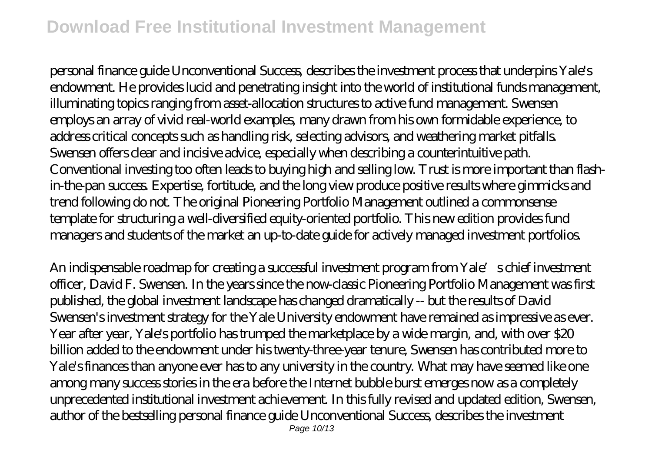personal finance guide Unconventional Success, describes the investment process that underpins Yale's endowment. He provides lucid and penetrating insight into the world of institutional funds management, illuminating topics ranging from asset-allocation structures to active fund management. Swensen employs an array of vivid real-world examples, many drawn from his own formidable experience, to address critical concepts such as handling risk, selecting advisors, and weathering market pitfalls. Swensen offers clear and incisive advice, especially when describing a counterintuitive path. Conventional investing too often leads to buying high and selling low. Trust is more important than flashin-the-pan success. Expertise, fortitude, and the long view produce positive results where gimmicks and trend following do not. The original Pioneering Portfolio Management outlined a commonsense template for structuring a well-diversified equity-oriented portfolio. This new edition provides fund managers and students of the market an up-to-date guide for actively managed investment portfolios.

An indispensable roadmap for creating a successful investment program from Yale's chief investment officer, David F. Swensen. In the years since the now-classic Pioneering Portfolio Management was first published, the global investment landscape has changed dramatically -- but the results of David Swensen's investment strategy for the Yale University endowment have remained as impressive as ever. Year after year, Yale's portfolio has trumped the marketplace by a wide margin, and, with over \$20 billion added to the endowment under his twenty-three-year tenure, Swensen has contributed more to Yale's finances than anyone ever has to any university in the country. What may have seemed like one among many success stories in the era before the Internet bubble burst emerges now as a completely unprecedented institutional investment achievement. In this fully revised and updated edition, Swensen, author of the bestselling personal finance guide Unconventional Success, describes the investment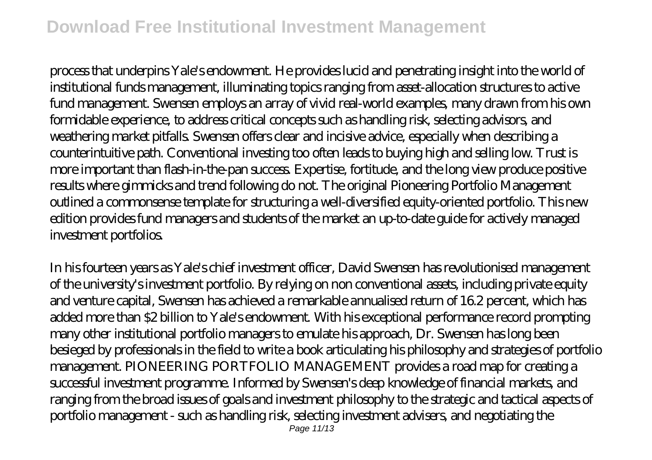process that underpins Yale's endowment. He provides lucid and penetrating insight into the world of institutional funds management, illuminating topics ranging from asset-allocation structures to active fund management. Swensen employs an array of vivid real-world examples, many drawn from his own formidable experience, to address critical concepts such as handling risk, selecting advisors, and weathering market pitfalls. Swensen offers clear and incisive advice, especially when describing a counterintuitive path. Conventional investing too often leads to buying high and selling low. Trust is more important than flash-in-the-pan success. Expertise, fortitude, and the long view produce positive results where gimmicks and trend following do not. The original Pioneering Portfolio Management outlined a commonsense template for structuring a well-diversified equity-oriented portfolio. This new edition provides fund managers and students of the market an up-to-date guide for actively managed investment portfolios.

In his fourteen years as Yale's chief investment officer, David Swensen has revolutionised management of the university's investment portfolio. By relying on non conventional assets, including private equity and venture capital, Swensen has achieved a remarkable annualised return of 16.2 percent, which has added more than \$2 billion to Yale's endowment. With his exceptional performance record prompting many other institutional portfolio managers to emulate his approach, Dr. Swensen has long been besieged by professionals in the field to write a book articulating his philosophy and strategies of portfolio management. PIONEERING PORTFOLIO MANAGEMENT provides a road map for creating a successful investment programme. Informed by Swensen's deep knowledge of financial markets, and ranging from the broad issues of goals and investment philosophy to the strategic and tactical aspects of portfolio management - such as handling risk, selecting investment advisers, and negotiating the Page 11/13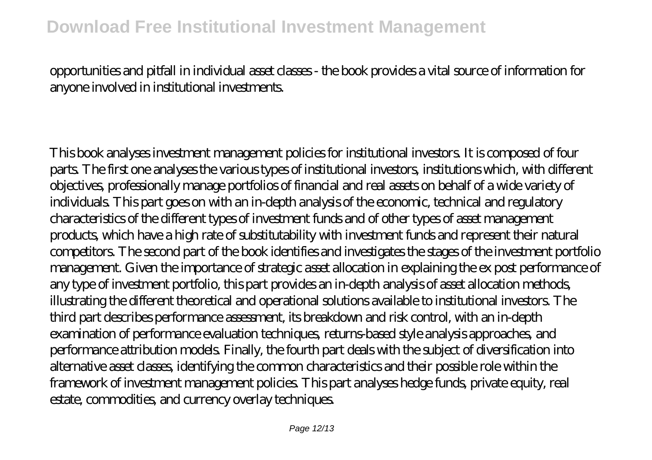### opportunities and pitfall in individual asset classes - the book provides a vital source of information for anyone involved in institutional investments.

This book analyses investment management policies for institutional investors. It is composed of four parts. The first one analyses the various types of institutional investors, institutions which, with different objectives, professionally manage portfolios of financial and real assets on behalf of a wide variety of individuals. This part goes on with an in-depth analysis of the economic, technical and regulatory characteristics of the different types of investment funds and of other types of asset management products, which have a high rate of substitutability with investment funds and represent their natural competitors. The second part of the book identifies and investigates the stages of the investment portfolio management. Given the importance of strategic asset allocation in explaining the ex post performance of any type of investment portfolio, this part provides an in-depth analysis of asset allocation methods, illustrating the different theoretical and operational solutions available to institutional investors. The third part describes performance assessment, its breakdown and risk control, with an in-depth examination of performance evaluation techniques, returns-based style analysis approaches, and performance attribution models. Finally, the fourth part deals with the subject of diversification into alternative asset classes, identifying the common characteristics and their possible role within the framework of investment management policies. This part analyses hedge funds, private equity, real estate, commodities, and currency overlay techniques.